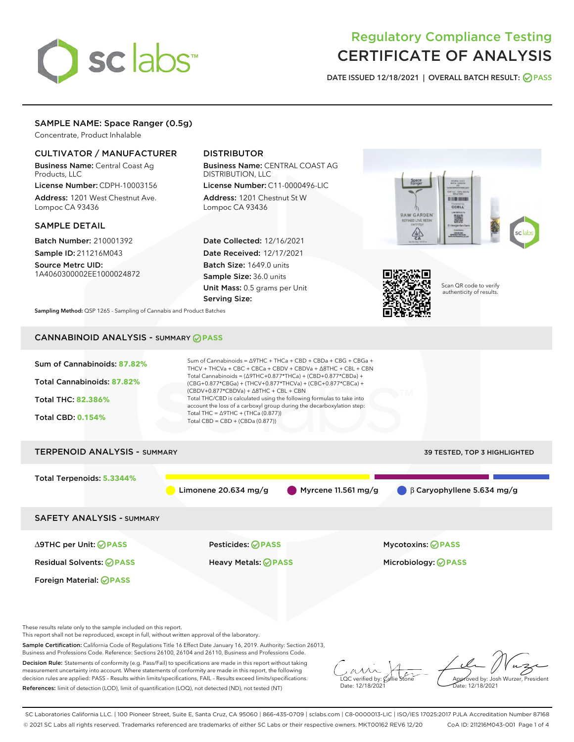# sclabs<sup>\*</sup>

# Regulatory Compliance Testing CERTIFICATE OF ANALYSIS

DATE ISSUED 12/18/2021 | OVERALL BATCH RESULT: @ PASS

# SAMPLE NAME: Space Ranger (0.5g)

Concentrate, Product Inhalable

# CULTIVATOR / MANUFACTURER

Business Name: Central Coast Ag Products, LLC

License Number: CDPH-10003156 Address: 1201 West Chestnut Ave. Lompoc CA 93436

### SAMPLE DETAIL

Batch Number: 210001392 Sample ID: 211216M043

Source Metrc UID: 1A4060300002EE1000024872

# DISTRIBUTOR

Business Name: CENTRAL COAST AG DISTRIBUTION, LLC License Number: C11-0000496-LIC

Address: 1201 Chestnut St W Lompoc CA 93436

Date Collected: 12/16/2021 Date Received: 12/17/2021 Batch Size: 1649.0 units Sample Size: 36.0 units Unit Mass: 0.5 grams per Unit Serving Size:





Scan QR code to verify authenticity of results.

Sampling Method: QSP 1265 - Sampling of Cannabis and Product Batches

# CANNABINOID ANALYSIS - SUMMARY **PASS**

| Sum of Cannabinoids: 87.82%<br>Total Cannabinoids: 87.82%<br>Total THC: 82.386%<br><b>Total CBD: 0.154%</b> | Sum of Cannabinoids = ∆9THC + THCa + CBD + CBDa + CBG + CBGa +<br>THCV + THCVa + CBC + CBCa + CBDV + CBDVa + $\Delta$ 8THC + CBL + CBN<br>Total Cannabinoids = $(\Delta$ 9THC+0.877*THCa) + (CBD+0.877*CBDa) +<br>(CBG+0.877*CBGa) + (THCV+0.877*THCVa) + (CBC+0.877*CBCa) +<br>$(CBDV+0.877*CBDVa) + \Delta 8THC + CBL + CBN$<br>Total THC/CBD is calculated using the following formulas to take into<br>account the loss of a carboxyl group during the decarboxylation step:<br>Total THC = $\triangle$ 9THC + (THCa (0.877))<br>Total CBD = $CBD + (CBDa (0.877))$ |                                  |
|-------------------------------------------------------------------------------------------------------------|-------------------------------------------------------------------------------------------------------------------------------------------------------------------------------------------------------------------------------------------------------------------------------------------------------------------------------------------------------------------------------------------------------------------------------------------------------------------------------------------------------------------------------------------------------------------------|----------------------------------|
| <b>TERPENOID ANALYSIS - SUMMARY</b>                                                                         |                                                                                                                                                                                                                                                                                                                                                                                                                                                                                                                                                                         | 39 TESTED, TOP 3 HIGHLIGHTED     |
| Total Terpenoids: 5.3344%                                                                                   | Myrcene 11.561 mg/g<br>Limonene $20.634$ mg/g                                                                                                                                                                                                                                                                                                                                                                                                                                                                                                                           | $\beta$ Caryophyllene 5.634 mg/g |
| <b>SAFETY ANALYSIS - SUMMARY</b>                                                                            |                                                                                                                                                                                                                                                                                                                                                                                                                                                                                                                                                                         |                                  |
| ∆9THC per Unit: ⊘PASS                                                                                       | Pesticides: ⊘PASS                                                                                                                                                                                                                                                                                                                                                                                                                                                                                                                                                       | <b>Mycotoxins: ⊘PASS</b>         |
| <b>Residual Solvents: ØPASS</b>                                                                             | <b>Heavy Metals: ⊘ PASS</b>                                                                                                                                                                                                                                                                                                                                                                                                                                                                                                                                             | Microbiology: <b>OPASS</b>       |
| <b>Foreign Material: ⊘PASS</b>                                                                              |                                                                                                                                                                                                                                                                                                                                                                                                                                                                                                                                                                         |                                  |

These results relate only to the sample included on this report.

This report shall not be reproduced, except in full, without written approval of the laboratory.

Sample Certification: California Code of Regulations Title 16 Effect Date January 16, 2019. Authority: Section 26013, Business and Professions Code. Reference: Sections 26100, 26104 and 26110, Business and Professions Code.

Decision Rule: Statements of conformity (e.g. Pass/Fail) to specifications are made in this report without taking measurement uncertainty into account. Where statements of conformity are made in this report, the following decision rules are applied: PASS – Results within limits/specifications, FAIL – Results exceed limits/specifications. References: limit of detection (LOD), limit of quantification (LOQ), not detected (ND), not tested (NT)

 $\sim$  CC verified by:  $\mathcal{C}$ Date: 12/18/2021

Approved by: Josh Wurzer, President ate: 12/18/2021

SC Laboratories California LLC. | 100 Pioneer Street, Suite E, Santa Cruz, CA 95060 | 866-435-0709 | sclabs.com | C8-0000013-LIC | ISO/IES 17025:2017 PJLA Accreditation Number 87168 © 2021 SC Labs all rights reserved. Trademarks referenced are trademarks of either SC Labs or their respective owners. MKT00162 REV6 12/20 CoA ID: 211216M043-001 Page 1 of 4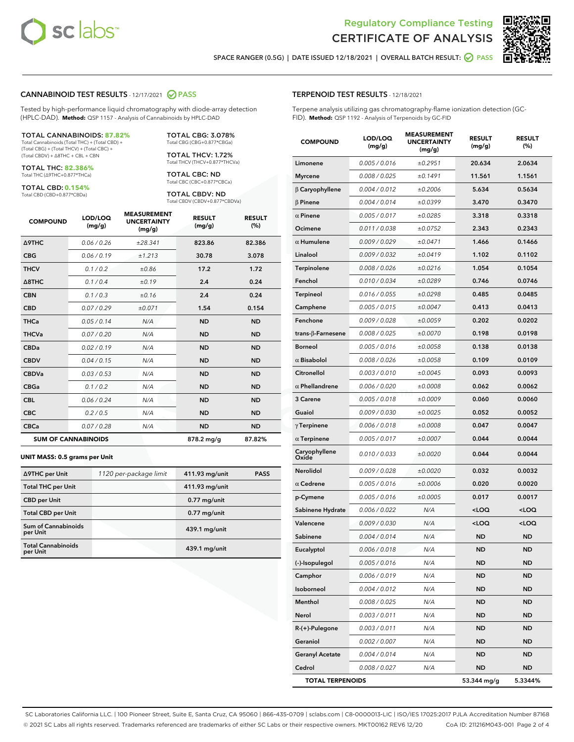



SPACE RANGER (0.5G) | DATE ISSUED 12/18/2021 | OVERALL BATCH RESULT: 2 PASS

#### CANNABINOID TEST RESULTS - 12/17/2021 2 PASS

Tested by high-performance liquid chromatography with diode-array detection (HPLC-DAD). **Method:** QSP 1157 - Analysis of Cannabinoids by HPLC-DAD

#### TOTAL CANNABINOIDS: **87.82%**

Total Cannabinoids (Total THC) + (Total CBD) + (Total CBG) + (Total THCV) + (Total CBC) + (Total CBDV) + ∆8THC + CBL + CBN

TOTAL THC: **82.386%** Total THC (∆9THC+0.877\*THCa)

TOTAL CBD: **0.154%**

Total CBD (CBD+0.877\*CBDa)

TOTAL CBG: 3.078% Total CBG (CBG+0.877\*CBGa)

TOTAL THCV: 1.72% Total THCV (THCV+0.877\*THCVa)

TOTAL CBC: ND Total CBC (CBC+0.877\*CBCa)

TOTAL CBDV: ND Total CBDV (CBDV+0.877\*CBDVa)

| <b>COMPOUND</b>  | LOD/LOQ<br>(mg/g)          | <b>MEASUREMENT</b><br><b>UNCERTAINTY</b><br>(mg/g) | <b>RESULT</b><br>(mg/g) | <b>RESULT</b><br>(%) |
|------------------|----------------------------|----------------------------------------------------|-------------------------|----------------------|
| <b>A9THC</b>     | 0.06 / 0.26                | ±28.341                                            | 823.86                  | 82.386               |
| <b>CBG</b>       | 0.06/0.19                  | ±1.213                                             | 30.78                   | 3.078                |
| <b>THCV</b>      | 0.1 / 0.2                  | ±0.86                                              | 17.2                    | 1.72                 |
| $\triangle$ 8THC | 0.1/0.4                    | ±0.19                                              | 2.4                     | 0.24                 |
| <b>CBN</b>       | 0.1/0.3                    | ±0.16                                              | 2.4                     | 0.24                 |
| <b>CBD</b>       | 0.07/0.29                  | ±0.071                                             | 1.54                    | 0.154                |
| <b>THCa</b>      | 0.05 / 0.14                | N/A                                                | <b>ND</b>               | <b>ND</b>            |
| <b>THCVa</b>     | 0.07/0.20                  | N/A                                                | <b>ND</b>               | <b>ND</b>            |
| <b>CBDa</b>      | 0.02/0.19                  | N/A                                                | <b>ND</b>               | <b>ND</b>            |
| <b>CBDV</b>      | 0.04/0.15                  | N/A                                                | <b>ND</b>               | <b>ND</b>            |
| <b>CBDVa</b>     | 0.03/0.53                  | N/A                                                | <b>ND</b>               | <b>ND</b>            |
| <b>CBGa</b>      | 0.1/0.2                    | N/A                                                | <b>ND</b>               | <b>ND</b>            |
| <b>CBL</b>       | 0.06 / 0.24                | N/A                                                | <b>ND</b>               | <b>ND</b>            |
| <b>CBC</b>       | 0.2 / 0.5                  | N/A                                                | <b>ND</b>               | <b>ND</b>            |
| <b>CBCa</b>      | 0.07 / 0.28                | N/A                                                | <b>ND</b>               | <b>ND</b>            |
|                  | <b>SUM OF CANNABINOIDS</b> |                                                    | 878.2 mg/g              | 87.82%               |

#### **UNIT MASS: 0.5 grams per Unit**

| ∆9THC per Unit                         | 1120 per-package limit | 411.93 mg/unit  | <b>PASS</b> |
|----------------------------------------|------------------------|-----------------|-------------|
| <b>Total THC per Unit</b>              |                        | 411.93 mg/unit  |             |
| <b>CBD</b> per Unit                    |                        | $0.77$ mg/unit  |             |
| <b>Total CBD per Unit</b>              |                        | $0.77$ mg/unit  |             |
| <b>Sum of Cannabinoids</b><br>per Unit |                        | 439.1 mg/unit   |             |
| <b>Total Cannabinoids</b><br>per Unit  |                        | $439.1$ mg/unit |             |

| <b>COMPOUND</b>         | LOD/LOQ<br>(mg/g) | WENT<br><b>UNCERTAINTY</b><br>(mq/q) | <b>RESULT</b><br>(mg/g)                         | <b>RESULT</b><br>(%) |
|-------------------------|-------------------|--------------------------------------|-------------------------------------------------|----------------------|
| Limonene                | 0.005 / 0.016     | ±0.2951                              | 20.634                                          | 2.0634               |
| <b>Myrcene</b>          | 0.008 / 0.025     | ±0.1491                              | 11.561                                          | 1.1561               |
| $\beta$ Caryophyllene   | 0.004 / 0.012     | ±0.2006                              | 5.634                                           | 0.5634               |
| $\beta$ Pinene          | 0.004 / 0.014     | ±0.0399                              | 3.470                                           | 0.3470               |
| $\alpha$ Pinene         | 0.005 / 0.017     | ±0.0285                              | 3.318                                           | 0.3318               |
| Ocimene                 | 0.011 / 0.038     | ±0.0752                              | 2.343                                           | 0.2343               |
| $\alpha$ Humulene       | 0.009 / 0.029     | ±0.0471                              | 1.466                                           | 0.1466               |
| Linalool                | 0.009 / 0.032     | ±0.0419                              | 1.102                                           | 0.1102               |
| Terpinolene             | 0.008 / 0.026     | ±0.0216                              | 1.054                                           | 0.1054               |
| Fenchol                 | 0.010 / 0.034     | ±0.0289                              | 0.746                                           | 0.0746               |
| Terpineol               | 0.016 / 0.055     | ±0.0298                              | 0.485                                           | 0.0485               |
| Camphene                | 0.005 / 0.015     | ±0.0047                              | 0.413                                           | 0.0413               |
| Fenchone                | 0.009 / 0.028     | ±0.0059                              | 0.202                                           | 0.0202               |
| trans-β-Farnesene       | 0.008 / 0.025     | ±0.0070                              | 0.198                                           | 0.0198               |
| <b>Borneol</b>          | 0.005 / 0.016     | ±0.0058                              | 0.138                                           | 0.0138               |
| $\alpha$ Bisabolol      | 0.008 / 0.026     | ±0.0058                              | 0.109                                           | 0.0109               |
| Citronellol             | 0.003 / 0.010     | ±0.0045                              | 0.093                                           | 0.0093               |
| $\alpha$ Phellandrene   | 0.006 / 0.020     | ±0.0008                              | 0.062                                           | 0.0062               |
| 3 Carene                | 0.005 / 0.018     | ±0.0009                              | 0.060                                           | 0.0060               |
| Guaiol                  | 0.009 / 0.030     | ±0.0025                              | 0.052                                           | 0.0052               |
| $\gamma$ Terpinene      | 0.006 / 0.018     | ±0.0008                              | 0.047                                           | 0.0047               |
| $\alpha$ Terpinene      | 0.005 / 0.017     | ±0.0007                              | 0.044                                           | 0.0044               |
| Caryophyllene<br>Oxide  | 0.010 / 0.033     | ±0.0020                              | 0.044                                           | 0.0044               |
| Nerolidol               | 0.009 / 0.028     | ±0.0020                              | 0.032                                           | 0.0032               |
| $\alpha$ Cedrene        | 0.005 / 0.016     | ±0.0006                              | 0.020                                           | 0.0020               |
| p-Cymene                | 0.005 / 0.016     | ±0.0005                              | 0.017                                           | 0.0017               |
| Sabinene Hydrate        | 0.006 / 0.022     | N/A                                  | <loq< th=""><th><loq< th=""></loq<></th></loq<> | <loq< th=""></loq<>  |
| Valencene               | 0.009 / 0.030     | N/A                                  | <loq< th=""><th><loq< th=""></loq<></th></loq<> | <loq< th=""></loq<>  |
| Sabinene                | 0.004 / 0.014     | N/A                                  | <b>ND</b>                                       | <b>ND</b>            |
| Eucalyptol              | 0.006 / 0.018     | N/A                                  | <b>ND</b>                                       | ND                   |
| (-)-Isopulegol          | 0.005 / 0.016     | N/A                                  | ND                                              | ND                   |
| Camphor                 | 0.006 / 0.019     | N/A                                  | ND                                              | ND                   |
| Isoborneol              | 0.004 / 0.012     | N/A                                  | <b>ND</b>                                       | ND                   |
| Menthol                 | 0.008 / 0.025     | N/A                                  | ND                                              | ND                   |
| Nerol                   | 0.003 / 0.011     | N/A                                  | ND                                              | ND                   |
| R-(+)-Pulegone          | 0.003 / 0.011     | N/A                                  | ND                                              | ND                   |
| Geraniol                | 0.002 / 0.007     | N/A                                  | ND                                              | ND                   |
| <b>Geranyl Acetate</b>  | 0.004 / 0.014     | N/A                                  | ND                                              | ND                   |
| Cedrol                  | 0.008 / 0.027     | N/A                                  | <b>ND</b>                                       | ND                   |
| <b>TOTAL TERPENOIDS</b> |                   |                                      | 53.344 mg/g                                     | 5.3344%              |

SC Laboratories California LLC. | 100 Pioneer Street, Suite E, Santa Cruz, CA 95060 | 866-435-0709 | sclabs.com | C8-0000013-LIC | ISO/IES 17025:2017 PJLA Accreditation Number 87168 © 2021 SC Labs all rights reserved. Trademarks referenced are trademarks of either SC Labs or their respective owners. MKT00162 REV6 12/20 CoA ID: 211216M043-001 Page 2 of 4

# TERPENOID TEST RESULTS - 12/18/2021

Terpene analysis utilizing gas chromatography-flame ionization detection (GC-FID). **Method:** QSP 1192 - Analysis of Terpenoids by GC-FID

MEACUREMENT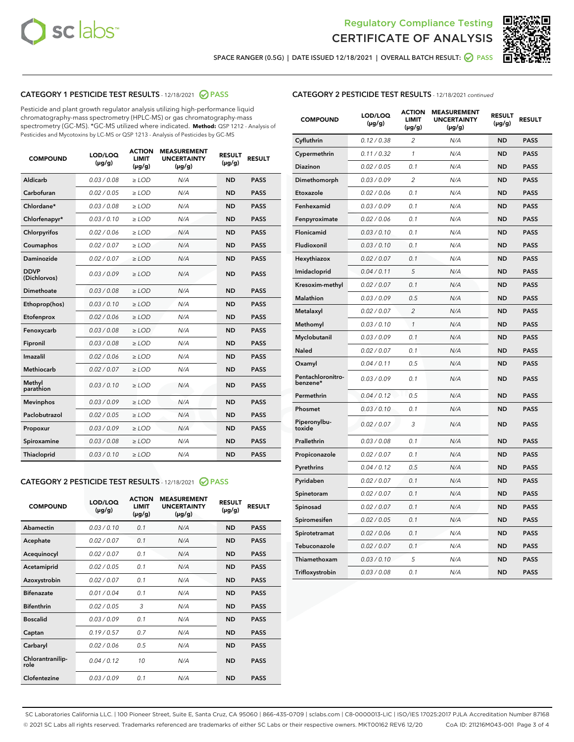



SPACE RANGER (0.5G) | DATE ISSUED 12/18/2021 | OVERALL BATCH RESULT:  $\bigcirc$  PASS

# CATEGORY 1 PESTICIDE TEST RESULTS - 12/18/2021 2 PASS

Pesticide and plant growth regulator analysis utilizing high-performance liquid chromatography-mass spectrometry (HPLC-MS) or gas chromatography-mass spectrometry (GC-MS). \*GC-MS utilized where indicated. **Method:** QSP 1212 - Analysis of Pesticides and Mycotoxins by LC-MS or QSP 1213 - Analysis of Pesticides by GC-MS

| <b>Aldicarb</b><br>0.03 / 0.08<br><b>ND</b><br>$\ge$ LOD<br>N/A<br><b>PASS</b><br>Carbofuran<br>0.02/0.05<br>$\ge$ LOD<br>N/A<br><b>ND</b><br><b>PASS</b><br>Chlordane*<br>0.03 / 0.08<br><b>ND</b><br>$>$ LOD<br>N/A<br><b>PASS</b><br>0.03/0.10<br><b>ND</b><br><b>PASS</b><br>Chlorfenapyr*<br>$\ge$ LOD<br>N/A<br>0.02 / 0.06<br>N/A<br><b>ND</b><br><b>PASS</b><br>Chlorpyrifos<br>$\ge$ LOD<br>0.02 / 0.07<br>N/A<br><b>ND</b><br><b>PASS</b><br>Coumaphos<br>$>$ LOD<br>Daminozide<br>0.02 / 0.07<br>$\ge$ LOD<br>N/A<br><b>ND</b><br><b>PASS</b><br><b>DDVP</b><br>0.03/0.09<br>$\ge$ LOD<br>N/A<br><b>ND</b><br><b>PASS</b><br>(Dichlorvos)<br>Dimethoate<br><b>ND</b><br><b>PASS</b><br>0.03 / 0.08<br>$>$ LOD<br>N/A<br>Ethoprop(hos)<br>0.03/0.10<br>$\ge$ LOD<br>N/A<br><b>ND</b><br><b>PASS</b><br>0.02/0.06<br>$\ge$ LOD<br>N/A<br><b>ND</b><br><b>PASS</b><br>Etofenprox<br>Fenoxycarb<br>0.03 / 0.08<br>$>$ LOD<br>N/A<br><b>ND</b><br><b>PASS</b><br>0.03 / 0.08<br><b>ND</b><br><b>PASS</b><br>Fipronil<br>$\ge$ LOD<br>N/A<br>Imazalil<br>0.02 / 0.06<br>$>$ LOD<br>N/A<br><b>ND</b><br><b>PASS</b><br>0.02 / 0.07<br>Methiocarb<br>N/A<br><b>ND</b><br>$>$ LOD<br><b>PASS</b><br>Methyl<br>0.03/0.10<br>$\ge$ LOD<br>N/A<br><b>ND</b><br><b>PASS</b><br>parathion<br>0.03/0.09<br>$\ge$ LOD<br>N/A<br><b>ND</b><br><b>PASS</b><br><b>Mevinphos</b><br>Paclobutrazol<br>0.02 / 0.05<br>$\ge$ LOD<br>N/A<br><b>ND</b><br><b>PASS</b><br>0.03/0.09<br>N/A<br>$\ge$ LOD<br><b>ND</b><br><b>PASS</b><br>Propoxur<br>0.03 / 0.08<br><b>ND</b><br><b>PASS</b><br>Spiroxamine<br>$\ge$ LOD<br>N/A<br><b>PASS</b><br>Thiacloprid<br>0.03/0.10<br>$\ge$ LOD<br>N/A<br><b>ND</b> | <b>COMPOUND</b> | LOD/LOQ<br>$(\mu g/g)$ | <b>ACTION</b><br>LIMIT<br>$(\mu g/g)$ | <b>MEASUREMENT</b><br><b>UNCERTAINTY</b><br>$(\mu g/g)$ | <b>RESULT</b><br>$(\mu g/g)$ | <b>RESULT</b> |
|--------------------------------------------------------------------------------------------------------------------------------------------------------------------------------------------------------------------------------------------------------------------------------------------------------------------------------------------------------------------------------------------------------------------------------------------------------------------------------------------------------------------------------------------------------------------------------------------------------------------------------------------------------------------------------------------------------------------------------------------------------------------------------------------------------------------------------------------------------------------------------------------------------------------------------------------------------------------------------------------------------------------------------------------------------------------------------------------------------------------------------------------------------------------------------------------------------------------------------------------------------------------------------------------------------------------------------------------------------------------------------------------------------------------------------------------------------------------------------------------------------------------------------------------------------------------------------------------------------------------------------------------------------------------------------------------|-----------------|------------------------|---------------------------------------|---------------------------------------------------------|------------------------------|---------------|
|                                                                                                                                                                                                                                                                                                                                                                                                                                                                                                                                                                                                                                                                                                                                                                                                                                                                                                                                                                                                                                                                                                                                                                                                                                                                                                                                                                                                                                                                                                                                                                                                                                                                                            |                 |                        |                                       |                                                         |                              |               |
|                                                                                                                                                                                                                                                                                                                                                                                                                                                                                                                                                                                                                                                                                                                                                                                                                                                                                                                                                                                                                                                                                                                                                                                                                                                                                                                                                                                                                                                                                                                                                                                                                                                                                            |                 |                        |                                       |                                                         |                              |               |
|                                                                                                                                                                                                                                                                                                                                                                                                                                                                                                                                                                                                                                                                                                                                                                                                                                                                                                                                                                                                                                                                                                                                                                                                                                                                                                                                                                                                                                                                                                                                                                                                                                                                                            |                 |                        |                                       |                                                         |                              |               |
|                                                                                                                                                                                                                                                                                                                                                                                                                                                                                                                                                                                                                                                                                                                                                                                                                                                                                                                                                                                                                                                                                                                                                                                                                                                                                                                                                                                                                                                                                                                                                                                                                                                                                            |                 |                        |                                       |                                                         |                              |               |
|                                                                                                                                                                                                                                                                                                                                                                                                                                                                                                                                                                                                                                                                                                                                                                                                                                                                                                                                                                                                                                                                                                                                                                                                                                                                                                                                                                                                                                                                                                                                                                                                                                                                                            |                 |                        |                                       |                                                         |                              |               |
|                                                                                                                                                                                                                                                                                                                                                                                                                                                                                                                                                                                                                                                                                                                                                                                                                                                                                                                                                                                                                                                                                                                                                                                                                                                                                                                                                                                                                                                                                                                                                                                                                                                                                            |                 |                        |                                       |                                                         |                              |               |
|                                                                                                                                                                                                                                                                                                                                                                                                                                                                                                                                                                                                                                                                                                                                                                                                                                                                                                                                                                                                                                                                                                                                                                                                                                                                                                                                                                                                                                                                                                                                                                                                                                                                                            |                 |                        |                                       |                                                         |                              |               |
|                                                                                                                                                                                                                                                                                                                                                                                                                                                                                                                                                                                                                                                                                                                                                                                                                                                                                                                                                                                                                                                                                                                                                                                                                                                                                                                                                                                                                                                                                                                                                                                                                                                                                            |                 |                        |                                       |                                                         |                              |               |
|                                                                                                                                                                                                                                                                                                                                                                                                                                                                                                                                                                                                                                                                                                                                                                                                                                                                                                                                                                                                                                                                                                                                                                                                                                                                                                                                                                                                                                                                                                                                                                                                                                                                                            |                 |                        |                                       |                                                         |                              |               |
|                                                                                                                                                                                                                                                                                                                                                                                                                                                                                                                                                                                                                                                                                                                                                                                                                                                                                                                                                                                                                                                                                                                                                                                                                                                                                                                                                                                                                                                                                                                                                                                                                                                                                            |                 |                        |                                       |                                                         |                              |               |
|                                                                                                                                                                                                                                                                                                                                                                                                                                                                                                                                                                                                                                                                                                                                                                                                                                                                                                                                                                                                                                                                                                                                                                                                                                                                                                                                                                                                                                                                                                                                                                                                                                                                                            |                 |                        |                                       |                                                         |                              |               |
|                                                                                                                                                                                                                                                                                                                                                                                                                                                                                                                                                                                                                                                                                                                                                                                                                                                                                                                                                                                                                                                                                                                                                                                                                                                                                                                                                                                                                                                                                                                                                                                                                                                                                            |                 |                        |                                       |                                                         |                              |               |
|                                                                                                                                                                                                                                                                                                                                                                                                                                                                                                                                                                                                                                                                                                                                                                                                                                                                                                                                                                                                                                                                                                                                                                                                                                                                                                                                                                                                                                                                                                                                                                                                                                                                                            |                 |                        |                                       |                                                         |                              |               |
|                                                                                                                                                                                                                                                                                                                                                                                                                                                                                                                                                                                                                                                                                                                                                                                                                                                                                                                                                                                                                                                                                                                                                                                                                                                                                                                                                                                                                                                                                                                                                                                                                                                                                            |                 |                        |                                       |                                                         |                              |               |
|                                                                                                                                                                                                                                                                                                                                                                                                                                                                                                                                                                                                                                                                                                                                                                                                                                                                                                                                                                                                                                                                                                                                                                                                                                                                                                                                                                                                                                                                                                                                                                                                                                                                                            |                 |                        |                                       |                                                         |                              |               |
|                                                                                                                                                                                                                                                                                                                                                                                                                                                                                                                                                                                                                                                                                                                                                                                                                                                                                                                                                                                                                                                                                                                                                                                                                                                                                                                                                                                                                                                                                                                                                                                                                                                                                            |                 |                        |                                       |                                                         |                              |               |
|                                                                                                                                                                                                                                                                                                                                                                                                                                                                                                                                                                                                                                                                                                                                                                                                                                                                                                                                                                                                                                                                                                                                                                                                                                                                                                                                                                                                                                                                                                                                                                                                                                                                                            |                 |                        |                                       |                                                         |                              |               |
|                                                                                                                                                                                                                                                                                                                                                                                                                                                                                                                                                                                                                                                                                                                                                                                                                                                                                                                                                                                                                                                                                                                                                                                                                                                                                                                                                                                                                                                                                                                                                                                                                                                                                            |                 |                        |                                       |                                                         |                              |               |
|                                                                                                                                                                                                                                                                                                                                                                                                                                                                                                                                                                                                                                                                                                                                                                                                                                                                                                                                                                                                                                                                                                                                                                                                                                                                                                                                                                                                                                                                                                                                                                                                                                                                                            |                 |                        |                                       |                                                         |                              |               |
|                                                                                                                                                                                                                                                                                                                                                                                                                                                                                                                                                                                                                                                                                                                                                                                                                                                                                                                                                                                                                                                                                                                                                                                                                                                                                                                                                                                                                                                                                                                                                                                                                                                                                            |                 |                        |                                       |                                                         |                              |               |
|                                                                                                                                                                                                                                                                                                                                                                                                                                                                                                                                                                                                                                                                                                                                                                                                                                                                                                                                                                                                                                                                                                                                                                                                                                                                                                                                                                                                                                                                                                                                                                                                                                                                                            |                 |                        |                                       |                                                         |                              |               |

#### CATEGORY 2 PESTICIDE TEST RESULTS - 12/18/2021 @ PASS

| <b>COMPOUND</b>          | LOD/LOO<br>$(\mu g/g)$ | <b>ACTION</b><br>LIMIT<br>$(\mu g/g)$ | <b>MEASUREMENT</b><br><b>UNCERTAINTY</b><br>$(\mu g/g)$ | <b>RESULT</b><br>$(\mu g/g)$ | <b>RESULT</b> |  |
|--------------------------|------------------------|---------------------------------------|---------------------------------------------------------|------------------------------|---------------|--|
| Abamectin                | 0.03/0.10              | 0.1                                   | N/A                                                     | <b>ND</b>                    | <b>PASS</b>   |  |
| Acephate                 | 0.02/0.07              | 0.1                                   | N/A                                                     | <b>ND</b>                    | <b>PASS</b>   |  |
| Acequinocyl              | 0.02/0.07              | 0.1                                   | N/A                                                     | <b>ND</b>                    | <b>PASS</b>   |  |
| Acetamiprid              | 0.02 / 0.05            | 0.1                                   | N/A                                                     | <b>ND</b>                    | <b>PASS</b>   |  |
| Azoxystrobin             | 0.02/0.07              | 0.1                                   | N/A                                                     | <b>ND</b>                    | <b>PASS</b>   |  |
| <b>Bifenazate</b>        | 0.01 / 0.04            | 0.1                                   | N/A                                                     | <b>ND</b>                    | <b>PASS</b>   |  |
| <b>Bifenthrin</b>        | 0.02 / 0.05            | 3                                     | N/A                                                     | <b>ND</b>                    | <b>PASS</b>   |  |
| <b>Boscalid</b>          | 0.03/0.09              | 0.1                                   | N/A                                                     | <b>ND</b>                    | <b>PASS</b>   |  |
| Captan                   | 0.19/0.57              | 0.7                                   | N/A                                                     | <b>ND</b>                    | <b>PASS</b>   |  |
| Carbaryl                 | 0.02/0.06              | 0.5                                   | N/A                                                     | <b>ND</b>                    | <b>PASS</b>   |  |
| Chlorantranilip-<br>role | 0.04/0.12              | 10                                    | N/A                                                     | <b>ND</b>                    | <b>PASS</b>   |  |
| Clofentezine             | 0.03/0.09              | 0.1                                   | N/A                                                     | <b>ND</b>                    | <b>PASS</b>   |  |

| <b>CATEGORY 2 PESTICIDE TEST RESULTS</b> - 12/18/2021 continued |  |
|-----------------------------------------------------------------|--|
|                                                                 |  |

| <b>COMPOUND</b>               | LOD/LOQ<br>(µg/g) | <b>ACTION</b><br>LIMIT<br>(µg/g) | <b>MEASUREMENT</b><br><b>UNCERTAINTY</b><br>(µg/g) | <b>RESULT</b><br>(µg/g) | <b>RESULT</b> |
|-------------------------------|-------------------|----------------------------------|----------------------------------------------------|-------------------------|---------------|
| Cyfluthrin                    | 0.12 / 0.38       | $\overline{c}$                   | N/A                                                | <b>ND</b>               | <b>PASS</b>   |
| Cypermethrin                  | 0.11/0.32         | 1                                | N/A                                                | <b>ND</b>               | <b>PASS</b>   |
| <b>Diazinon</b>               | 0.02 / 0.05       | 0.1                              | N/A                                                | <b>ND</b>               | <b>PASS</b>   |
| Dimethomorph                  | 0.03 / 0.09       | 2                                | N/A                                                | <b>ND</b>               | <b>PASS</b>   |
| Etoxazole                     | 0.02 / 0.06       | 0.1                              | N/A                                                | <b>ND</b>               | <b>PASS</b>   |
| Fenhexamid                    | 0.03 / 0.09       | 0.1                              | N/A                                                | <b>ND</b>               | <b>PASS</b>   |
| Fenpyroximate                 | 0.02 / 0.06       | 0.1                              | N/A                                                | <b>ND</b>               | <b>PASS</b>   |
| Flonicamid                    | 0.03 / 0.10       | 0.1                              | N/A                                                | <b>ND</b>               | <b>PASS</b>   |
| Fludioxonil                   | 0.03/0.10         | 0.1                              | N/A                                                | <b>ND</b>               | <b>PASS</b>   |
| Hexythiazox                   | 0.02 / 0.07       | 0.1                              | N/A                                                | <b>ND</b>               | <b>PASS</b>   |
| Imidacloprid                  | 0.04 / 0.11       | 5                                | N/A                                                | <b>ND</b>               | <b>PASS</b>   |
| Kresoxim-methyl               | 0.02 / 0.07       | 0.1                              | N/A                                                | <b>ND</b>               | <b>PASS</b>   |
| Malathion                     | 0.03 / 0.09       | 0.5                              | N/A                                                | <b>ND</b>               | <b>PASS</b>   |
| Metalaxyl                     | 0.02 / 0.07       | $\overline{c}$                   | N/A                                                | <b>ND</b>               | <b>PASS</b>   |
| Methomyl                      | 0.03 / 0.10       | 1                                | N/A                                                | <b>ND</b>               | <b>PASS</b>   |
| Myclobutanil                  | 0.03/0.09         | 0.1                              | N/A                                                | <b>ND</b>               | <b>PASS</b>   |
| Naled                         | 0.02 / 0.07       | 0.1                              | N/A                                                | <b>ND</b>               | <b>PASS</b>   |
| Oxamyl                        | 0.04 / 0.11       | 0.5                              | N/A                                                | <b>ND</b>               | <b>PASS</b>   |
| Pentachloronitro-<br>benzene* | 0.03/0.09         | 0.1                              | N/A                                                | <b>ND</b>               | <b>PASS</b>   |
| Permethrin                    | 0.04 / 0.12       | 0.5                              | N/A                                                | <b>ND</b>               | <b>PASS</b>   |
| Phosmet                       | 0.03 / 0.10       | 0.1                              | N/A                                                | <b>ND</b>               | <b>PASS</b>   |
| Piperonylbu-<br>toxide        | 0.02 / 0.07       | 3                                | N/A                                                | <b>ND</b>               | <b>PASS</b>   |
| Prallethrin                   | 0.03 / 0.08       | 0.1                              | N/A                                                | <b>ND</b>               | <b>PASS</b>   |
| Propiconazole                 | 0.02 / 0.07       | 0.1                              | N/A                                                | <b>ND</b>               | <b>PASS</b>   |
| Pyrethrins                    | 0.04 / 0.12       | 0.5                              | N/A                                                | <b>ND</b>               | <b>PASS</b>   |
| Pyridaben                     | 0.02 / 0.07       | 0.1                              | N/A                                                | <b>ND</b>               | <b>PASS</b>   |
| Spinetoram                    | 0.02 / 0.07       | 0.1                              | N/A                                                | <b>ND</b>               | <b>PASS</b>   |
| Spinosad                      | 0.02 / 0.07       | 0.1                              | N/A                                                | <b>ND</b>               | <b>PASS</b>   |
| Spiromesifen                  | 0.02 / 0.05       | 0.1                              | N/A                                                | <b>ND</b>               | <b>PASS</b>   |
| Spirotetramat                 | 0.02 / 0.06       | 0.1                              | N/A                                                | <b>ND</b>               | <b>PASS</b>   |
| Tebuconazole                  | 0.02 / 0.07       | 0.1                              | N/A                                                | <b>ND</b>               | <b>PASS</b>   |
| Thiamethoxam                  | 0.03 / 0.10       | 5                                | N/A                                                | <b>ND</b>               | <b>PASS</b>   |
| Trifloxystrobin               | 0.03 / 0.08       | 0.1                              | N/A                                                | <b>ND</b>               | <b>PASS</b>   |

SC Laboratories California LLC. | 100 Pioneer Street, Suite E, Santa Cruz, CA 95060 | 866-435-0709 | sclabs.com | C8-0000013-LIC | ISO/IES 17025:2017 PJLA Accreditation Number 87168 © 2021 SC Labs all rights reserved. Trademarks referenced are trademarks of either SC Labs or their respective owners. MKT00162 REV6 12/20 CoA ID: 211216M043-001 Page 3 of 4